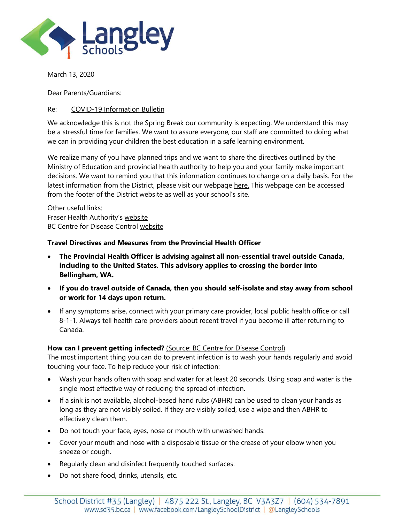

March 13, 2020

Dear Parents/Guardians:

# Re: COVID-19 Information Bulletin

We acknowledge this is not the Spring Break our community is expecting. We understand this may be a stressful time for families. We want to assure everyone, our staff are committed to doing what we can in providing your children the best education in a safe learning environment.

We realize many of you have planned trips and we want to share the directives outlined by the Ministry of Education and provincial health authority to help you and your family make important decisions. We want to remind you that this information continues to change on a daily basis. For the latest information from the District, please visit our webpag[e here.](https://www.sd35.bc.ca/news-events/district-board-news/ministry-updates-on-novel-coronavirus-covid-19/) This webpage can be accessed from the footer of the District website as well as your school's site.

Other useful links: Fraser Health Authority's [website](https://www.fraserhealth.ca/health-topics-a-to-z/coronavirus#.Xmf-sZNKiUk) BC Centre for Disease Control [website](http://www.bccdc.ca/health-info/diseases-conditions/coronavirus-(novel))

## **Travel Directives and Measures from the Provincial Health Officer**

- **The Provincial Health Officer is advising against all non-essential travel outside Canada, including to the United States. This advisory applies to crossing the border into Bellingham, WA.**
- **If you do travel outside of Canada, then you should self-isolate and stay away from school or work for 14 days upon return.**
- If any symptoms arise, connect with your primary care provider, local public health office or call 8-1-1. Always tell health care providers about recent travel if you become ill after returning to Canada.

## **How can I prevent getting infected?** [\(Source: BC Centre for Disease Control\)](https://www.healthlinkbc.ca/health-feature/coronavirus-covid-19)

The most important thing you can do to prevent infection is to wash your hands regularly and avoid touching your face. To help reduce your risk of infection:

- Wash your hands often with soap and water for at least 20 seconds. Using soap and water is the single most effective way of reducing the spread of infection.
- If a sink is not available, alcohol-based hand rubs (ABHR) can be used to clean your hands as long as they are not visibly soiled. If they are visibly soiled, use a wipe and then ABHR to effectively clean them.
- Do not touch your face, eyes, nose or mouth with unwashed hands.
- Cover your mouth and nose with a disposable tissue or the crease of your elbow when you sneeze or cough.
- Regularly clean and disinfect frequently touched surfaces.
- Do not share food, drinks, utensils, etc.